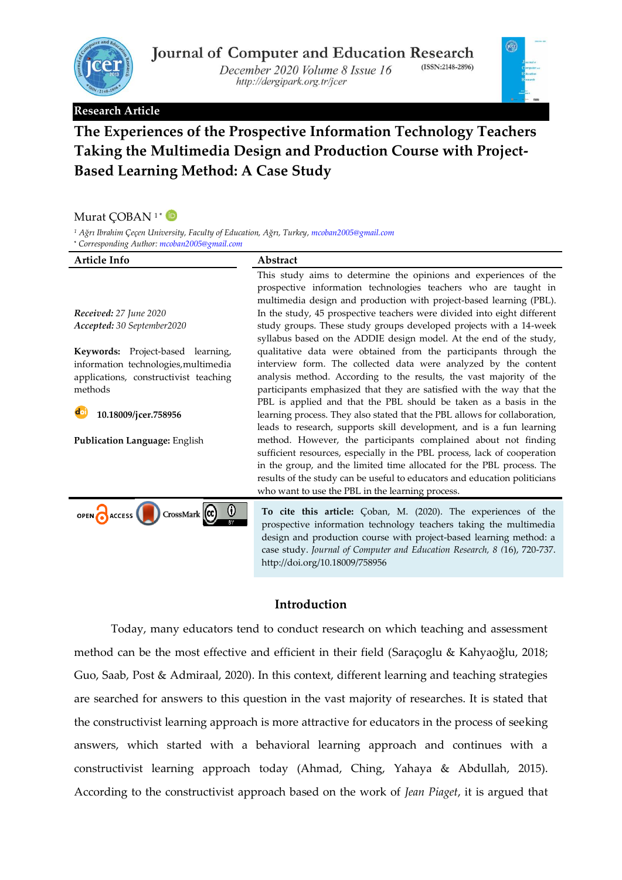

December 2020 Volume 8 Issue 16 http://dergipark.org.tr/jcer

#### **Research Article**



# **The Experiences of the Prospective Information Technology Teachers Taking the Multimedia Design and Production Course with Project-Based Learning Method: A Case Study**

#### Murat ÇOBAN<sup>1</sub>\*</sup>

*<sup>1</sup> Ağrı Ibrahim Çeçen University, Faculty of Education, Ağrı, Turkey[, mcoban2005@gmail.com](mailto:mcoban2005@gmail.com)*

**\*** *Corresponding Author[: mcoban2005@gmail.com](mailto:mcoban2005@gmail.com)*

| Article Info                                                                                                     | Abstract                                                                                                                                                                                                                                                                                                                                                          |
|------------------------------------------------------------------------------------------------------------------|-------------------------------------------------------------------------------------------------------------------------------------------------------------------------------------------------------------------------------------------------------------------------------------------------------------------------------------------------------------------|
|                                                                                                                  | This study aims to determine the opinions and experiences of the<br>prospective information technologies teachers who are taught in<br>multimedia design and production with project-based learning (PBL).                                                                                                                                                        |
| Received: 27 June 2020                                                                                           | In the study, 45 prospective teachers were divided into eight different                                                                                                                                                                                                                                                                                           |
| Accepted: 30 September2020                                                                                       | study groups. These study groups developed projects with a 14-week<br>syllabus based on the ADDIE design model. At the end of the study,                                                                                                                                                                                                                          |
| Keywords: Project-based learning,                                                                                | qualitative data were obtained from the participants through the                                                                                                                                                                                                                                                                                                  |
| information technologies, multimedia<br>applications, constructivist teaching<br>methods<br>10.18009/jcer.758956 | interview form. The collected data were analyzed by the content<br>analysis method. According to the results, the vast majority of the<br>participants emphasized that they are satisfied with the way that the<br>PBL is applied and that the PBL should be taken as a basis in the<br>learning process. They also stated that the PBL allows for collaboration, |
|                                                                                                                  | leads to research, supports skill development, and is a fun learning                                                                                                                                                                                                                                                                                              |
| Publication Language: English                                                                                    | method. However, the participants complained about not finding<br>sufficient resources, especially in the PBL process, lack of cooperation<br>in the group, and the limited time allocated for the PBL process. The<br>results of the study can be useful to educators and education politicians<br>who want to use the PBL in the learning process.              |
| OPEN CACCESS CONCRETE CO.<br>$\rm ^o$                                                                            | To cite this article: Çoban, M. (2020). The experiences of the<br>prospective information technology teachers taking the multimedia<br>design and production course with project-based learning method: a<br>case study. Journal of Computer and Education Research, 8 (16), 720-737.                                                                             |

# **Introduction**

http://doi.org/10.18009/758956

Today, many educators tend to conduct research on which teaching and assessment method can be the most effective and efficient in their field (Saraçoglu & Kahyaoğlu, 2018; Guo, Saab, Post & Admiraal, 2020). In this context, different learning and teaching strategies are searched for answers to this question in the vast majority of researches. It is stated that the constructivist learning approach is more attractive for educators in the process of seeking answers, which started with a behavioral learning approach and continues with a constructivist learning approach today (Ahmad, Ching, Yahaya & Abdullah, 2015). According to the constructivist approach based on the work of *Jean Piaget*, it is argued that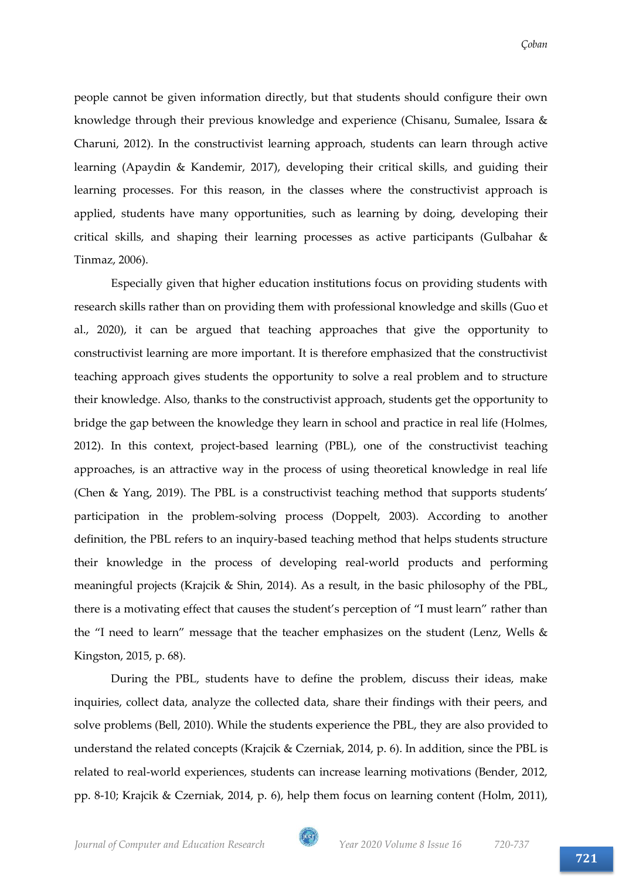people cannot be given information directly, but that students should configure their own knowledge through their previous knowledge and experience (Chisanu, Sumalee, Issara & Charuni, 2012). In the constructivist learning approach, students can learn through active learning (Apaydin & Kandemir, 2017), developing their critical skills, and guiding their learning processes. For this reason, in the classes where the constructivist approach is applied, students have many opportunities, such as learning by doing, developing their critical skills, and shaping their learning processes as active participants (Gulbahar & Tinmaz, 2006).

Especially given that higher education institutions focus on providing students with research skills rather than on providing them with professional knowledge and skills (Guo et al., 2020), it can be argued that teaching approaches that give the opportunity to constructivist learning are more important. It is therefore emphasized that the constructivist teaching approach gives students the opportunity to solve a real problem and to structure their knowledge. Also, thanks to the constructivist approach, students get the opportunity to bridge the gap between the knowledge they learn in school and practice in real life (Holmes, 2012). In this context, project-based learning (PBL), one of the constructivist teaching approaches, is an attractive way in the process of using theoretical knowledge in real life (Chen & Yang, 2019). The PBL is a constructivist teaching method that supports students' participation in the problem-solving process (Doppelt, 2003). According to another definition, the PBL refers to an inquiry-based teaching method that helps students structure their knowledge in the process of developing real-world products and performing meaningful projects (Krajcik & Shin, 2014). As a result, in the basic philosophy of the PBL, there is a motivating effect that causes the student's perception of "I must learn" rather than the "I need to learn" message that the teacher emphasizes on the student (Lenz, Wells & Kingston, 2015, p. 68).

During the PBL, students have to define the problem, discuss their ideas, make inquiries, collect data, analyze the collected data, share their findings with their peers, and solve problems (Bell, 2010). While the students experience the PBL, they are also provided to understand the related concepts (Krajcik & Czerniak, 2014, p. 6). In addition, since the PBL is related to real-world experiences, students can increase learning motivations (Bender, 2012, pp. 8-10; Krajcik & Czerniak, 2014, p. 6), help them focus on learning content (Holm, 2011),

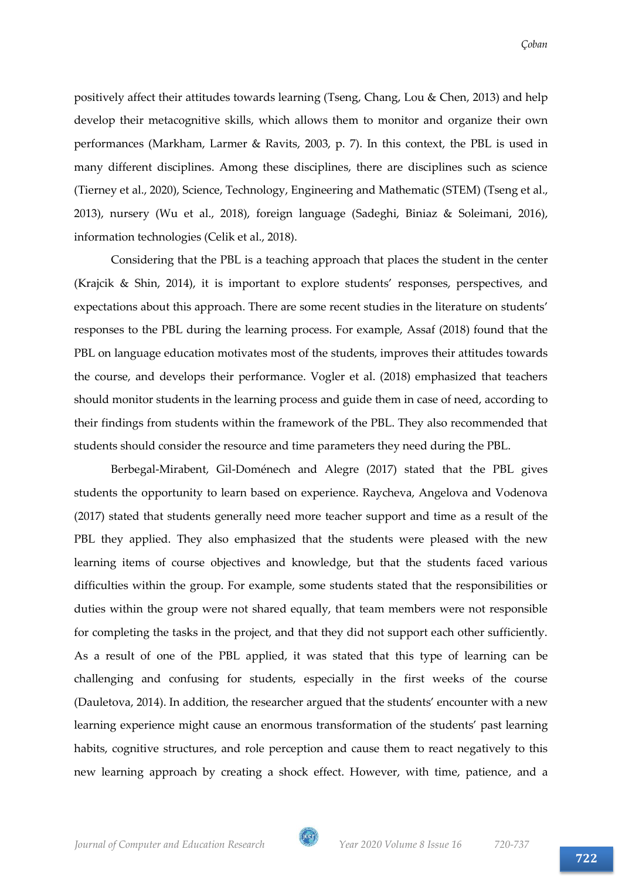positively affect their attitudes towards learning (Tseng, Chang, Lou & Chen, 2013) and help develop their metacognitive skills, which allows them to monitor and organize their own performances (Markham, Larmer & Ravits, 2003, p. 7). In this context, the PBL is used in many different disciplines. Among these disciplines, there are disciplines such as science (Tierney et al., 2020), Science, Technology, Engineering and Mathematic (STEM) (Tseng et al., 2013), nursery (Wu et al., 2018), foreign language (Sadeghi, Biniaz & Soleimani, 2016), information technologies (Celik et al., 2018).

Considering that the PBL is a teaching approach that places the student in the center (Krajcik & Shin, 2014), it is important to explore students' responses, perspectives, and expectations about this approach. There are some recent studies in the literature on students' responses to the PBL during the learning process. For example, Assaf (2018) found that the PBL on language education motivates most of the students, improves their attitudes towards the course, and develops their performance. Vogler et al. (2018) emphasized that teachers should monitor students in the learning process and guide them in case of need, according to their findings from students within the framework of the PBL. They also recommended that students should consider the resource and time parameters they need during the PBL.

Berbegal-Mirabent, Gil-Doménech and Alegre (2017) stated that the PBL gives students the opportunity to learn based on experience. Raycheva, Angelova and Vodenova (2017) stated that students generally need more teacher support and time as a result of the PBL they applied. They also emphasized that the students were pleased with the new learning items of course objectives and knowledge, but that the students faced various difficulties within the group. For example, some students stated that the responsibilities or duties within the group were not shared equally, that team members were not responsible for completing the tasks in the project, and that they did not support each other sufficiently. As a result of one of the PBL applied, it was stated that this type of learning can be challenging and confusing for students, especially in the first weeks of the course (Dauletova, 2014). In addition, the researcher argued that the students' encounter with a new learning experience might cause an enormous transformation of the students' past learning habits, cognitive structures, and role perception and cause them to react negatively to this new learning approach by creating a shock effect. However, with time, patience, and a

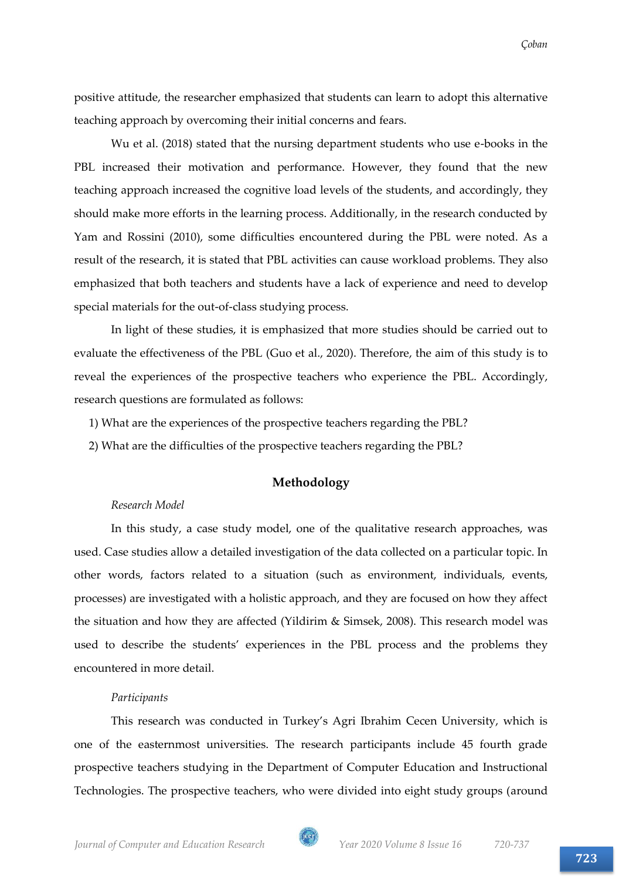positive attitude, the researcher emphasized that students can learn to adopt this alternative teaching approach by overcoming their initial concerns and fears.

Wu et al. (2018) stated that the nursing department students who use e-books in the PBL increased their motivation and performance. However, they found that the new teaching approach increased the cognitive load levels of the students, and accordingly, they should make more efforts in the learning process. Additionally, in the research conducted by Yam and Rossini (2010), some difficulties encountered during the PBL were noted. As a result of the research, it is stated that PBL activities can cause workload problems. They also emphasized that both teachers and students have a lack of experience and need to develop special materials for the out-of-class studying process.

In light of these studies, it is emphasized that more studies should be carried out to evaluate the effectiveness of the PBL (Guo et al., 2020). Therefore, the aim of this study is to reveal the experiences of the prospective teachers who experience the PBL. Accordingly, research questions are formulated as follows:

1) What are the experiences of the prospective teachers regarding the PBL?

2) What are the difficulties of the prospective teachers regarding the PBL?

# **Methodology**

# *Research Model*

In this study, a case study model, one of the qualitative research approaches, was used. Case studies allow a detailed investigation of the data collected on a particular topic. In other words, factors related to a situation (such as environment, individuals, events, processes) are investigated with a holistic approach, and they are focused on how they affect the situation and how they are affected (Yildirim & Simsek, 2008). This research model was used to describe the students' experiences in the PBL process and the problems they encountered in more detail.

# *Participants*

This research was conducted in Turkey's Agri Ibrahim Cecen University, which is one of the easternmost universities. The research participants include 45 fourth grade prospective teachers studying in the Department of Computer Education and Instructional Technologies. The prospective teachers, who were divided into eight study groups (around

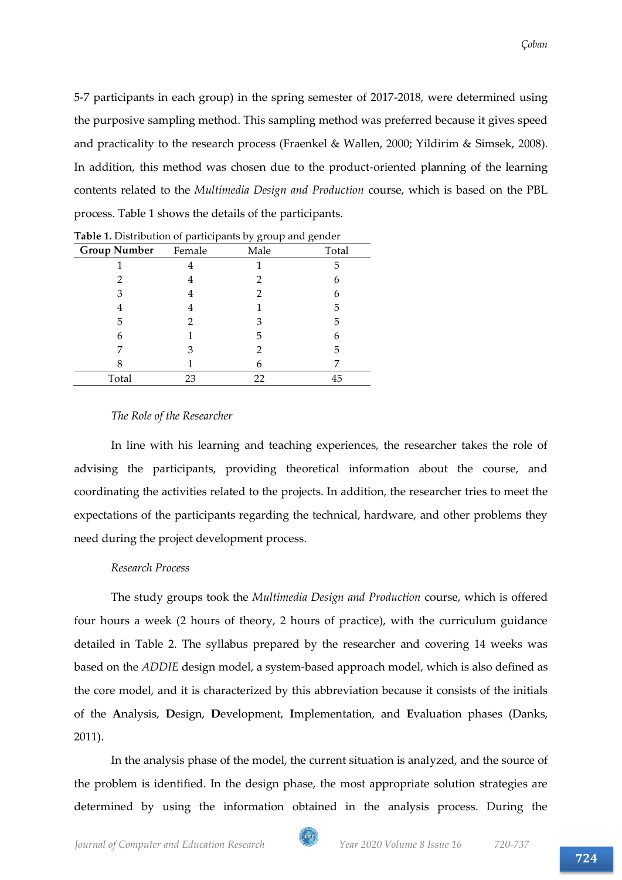5-7 participants in each group) in the spring semester of 2017-2018, were determined using the purposive sampling method. This sampling method was preferred because it gives speed and practicality to the research process (Fraenkel & Wallen, 2000; Yildirim & Simsek, 2008). In addition, this method was chosen due to the product-oriented planning of the learning contents related to the *Multimedia Design and Production* course, which is based on the PBL process. Table 1 shows the details of the participants.

|                     |        | $\sigma$ | $\sigma$ |
|---------------------|--------|----------|----------|
| <b>Group Number</b> | Female | Male     | Total    |
|                     |        |          | 5        |
|                     |        | 2        | 6        |
| З                   |        | 2        | 6        |
| 4                   |        |          | 5        |
| 5                   |        | З        | 5        |
| 6                   |        | 5        | 6        |
|                     | З      |          | 5        |
|                     |        | 6        |          |
| Total               | 23     | 22       | 45       |

**Table 1.** Distribution of participants by group and gender

# *The Role of the Researcher*

In line with his learning and teaching experiences, the researcher takes the role of advising the participants, providing theoretical information about the course, and coordinating the activities related to the projects. In addition, the researcher tries to meet the expectations of the participants regarding the technical, hardware, and other problems they need during the project development process.

# *Research Process*

The study groups took the *Multimedia Design and Production* course, which is offered four hours a week (2 hours of theory, 2 hours of practice), with the curriculum guidance detailed in Table 2. The syllabus prepared by the researcher and covering 14 weeks was based on the *ADDIE* design model, a system-based approach model, which is also defined as the core model, and it is characterized by this abbreviation because it consists of the initials of the **A**nalysis, **D**esign, **D**evelopment, **I**mplementation, and **E**valuation phases (Danks, 2011).

In the analysis phase of the model, the current situation is analyzed, and the source of the problem is identified. In the design phase, the most appropriate solution strategies are determined by using the information obtained in the analysis process. During the

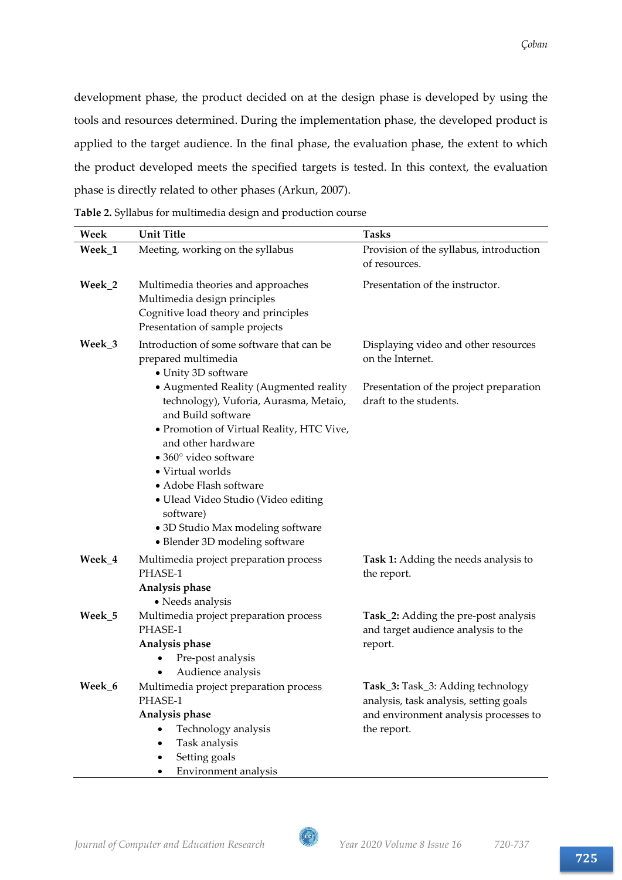development phase, the product decided on at the design phase is developed by using the tools and resources determined. During the implementation phase, the developed product is applied to the target audience. In the final phase, the evaluation phase, the extent to which the product developed meets the specified targets is tested. In this context, the evaluation phase is directly related to other phases (Arkun, 2007).

**Table 2.** Syllabus for multimedia design and production course

| Week   | <b>Unit Title</b>                                             | <b>Tasks</b>                                   |
|--------|---------------------------------------------------------------|------------------------------------------------|
| Week_1 | Meeting, working on the syllabus                              | Provision of the syllabus, introduction        |
|        |                                                               | of resources.                                  |
| Week_2 | Multimedia theories and approaches                            | Presentation of the instructor.                |
|        | Multimedia design principles                                  |                                                |
|        | Cognitive load theory and principles                          |                                                |
|        | Presentation of sample projects                               |                                                |
| Week_3 | Introduction of some software that can be                     | Displaying video and other resources           |
|        | prepared multimedia<br>• Unity 3D software                    | on the Internet.                               |
|        | • Augmented Reality (Augmented reality                        | Presentation of the project preparation        |
|        | technology), Vuforia, Aurasma, Metaio,                        | draft to the students.                         |
|        | and Build software                                            |                                                |
|        | · Promotion of Virtual Reality, HTC Vive,                     |                                                |
|        | and other hardware                                            |                                                |
|        | · 360° video software                                         |                                                |
|        | • Virtual worlds                                              |                                                |
|        | • Adobe Flash software<br>• Ulead Video Studio (Video editing |                                                |
|        | software)                                                     |                                                |
|        | • 3D Studio Max modeling software                             |                                                |
|        | • Blender 3D modeling software                                |                                                |
| Week_4 | Multimedia project preparation process                        | Task 1: Adding the needs analysis to           |
|        | PHASE-1                                                       | the report.                                    |
|        | Analysis phase                                                |                                                |
|        | • Needs analysis                                              |                                                |
| Week_5 | Multimedia project preparation process<br>PHASE-1             | Task_2: Adding the pre-post analysis           |
|        | Analysis phase                                                | and target audience analysis to the<br>report. |
|        | Pre-post analysis                                             |                                                |
|        | Audience analysis                                             |                                                |
| Week 6 | Multimedia project preparation process                        | Task_3: Task_3: Adding technology              |
|        | PHASE-1                                                       | analysis, task analysis, setting goals         |
|        | Analysis phase                                                | and environment analysis processes to          |
|        |                                                               | the report.                                    |
|        | Technology analysis                                           |                                                |
|        | Task analysis<br>Setting goals                                |                                                |

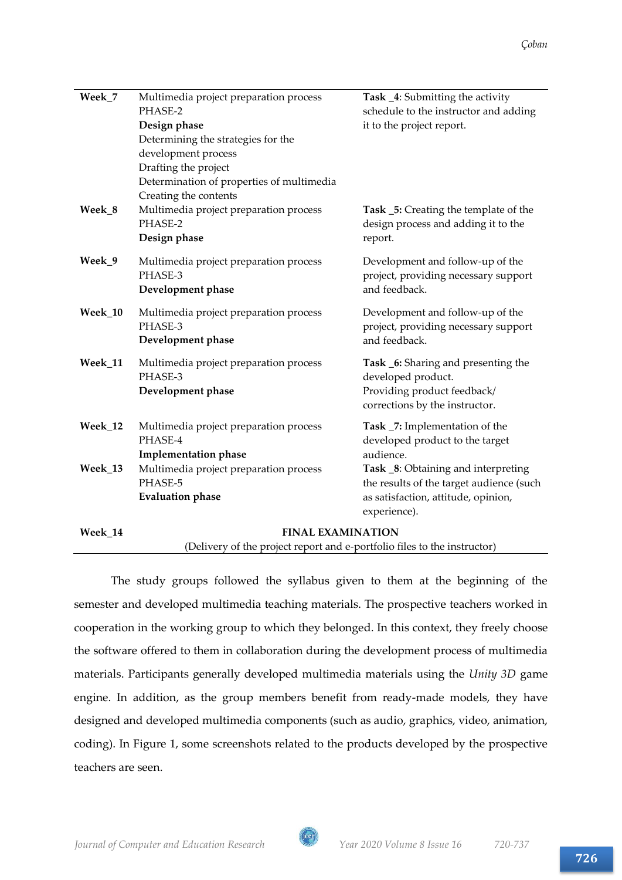| Week_7  | Multimedia project preparation process<br>PHASE-2<br>Design phase<br>Determining the strategies for the<br>development process<br>Drafting the project<br>Determination of properties of multimedia<br>Creating the contents | Task _4: Submitting the activity<br>schedule to the instructor and adding<br>it to the project report.                                 |  |
|---------|------------------------------------------------------------------------------------------------------------------------------------------------------------------------------------------------------------------------------|----------------------------------------------------------------------------------------------------------------------------------------|--|
| Week_8  | Multimedia project preparation process<br>PHASE-2<br>Design phase                                                                                                                                                            | Task _5: Creating the template of the<br>design process and adding it to the<br>report.                                                |  |
| Week_9  | Multimedia project preparation process<br>PHASE-3<br>Development phase                                                                                                                                                       | Development and follow-up of the<br>project, providing necessary support<br>and feedback.                                              |  |
| Week_10 | Multimedia project preparation process<br>PHASE-3<br>Development phase                                                                                                                                                       | Development and follow-up of the<br>project, providing necessary support<br>and feedback.                                              |  |
| Week_11 | Multimedia project preparation process<br>PHASE-3<br>Development phase                                                                                                                                                       | Task _6: Sharing and presenting the<br>developed product.<br>Providing product feedback/<br>corrections by the instructor.             |  |
| Week_12 | Multimedia project preparation process<br>PHASE-4<br><b>Implementation phase</b>                                                                                                                                             | Task _7: Implementation of the<br>developed product to the target<br>audience.                                                         |  |
| Week_13 | Multimedia project preparation process<br>PHASE-5<br><b>Evaluation phase</b>                                                                                                                                                 | Task _8: Obtaining and interpreting<br>the results of the target audience (such<br>as satisfaction, attitude, opinion,<br>experience). |  |
| Week 14 | <b>FINAL EXAMINATION</b>                                                                                                                                                                                                     |                                                                                                                                        |  |

(Delivery of the project report and e-portfolio files to the instructor)

The study groups followed the syllabus given to them at the beginning of the semester and developed multimedia teaching materials. The prospective teachers worked in cooperation in the working group to which they belonged. In this context, they freely choose the software offered to them in collaboration during the development process of multimedia materials. Participants generally developed multimedia materials using the *Unity 3D* game engine. In addition, as the group members benefit from ready-made models, they have designed and developed multimedia components (such as audio, graphics, video, animation, coding). In Figure 1, some screenshots related to the products developed by the prospective teachers are seen.

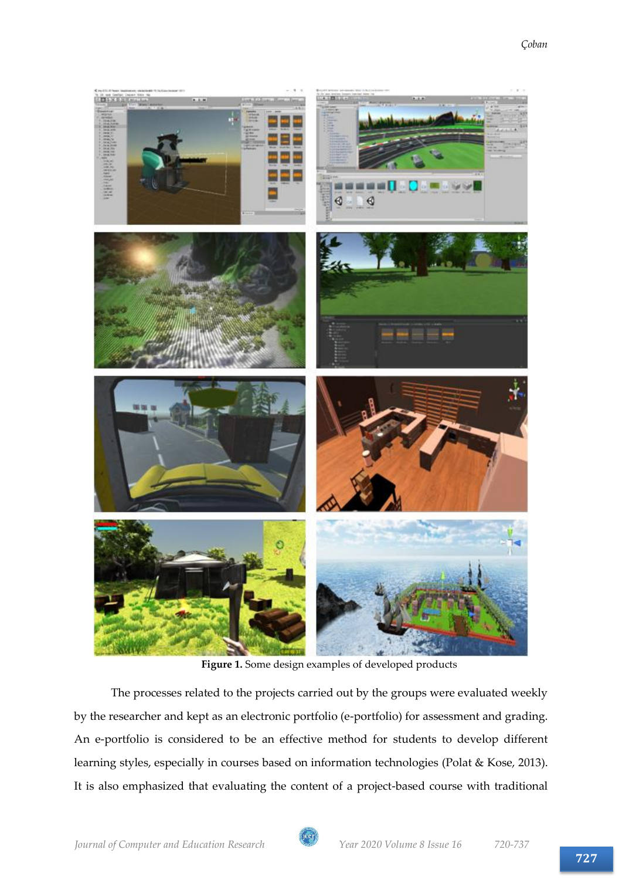

**Figure 1.** Some design examples of developed products

The processes related to the projects carried out by the groups were evaluated weekly by the researcher and kept as an electronic portfolio (e-portfolio) for assessment and grading. An e-portfolio is considered to be an effective method for students to develop different learning styles, especially in courses based on information technologies (Polat & Kose, 2013). It is also emphasized that evaluating the content of a project-based course with traditional

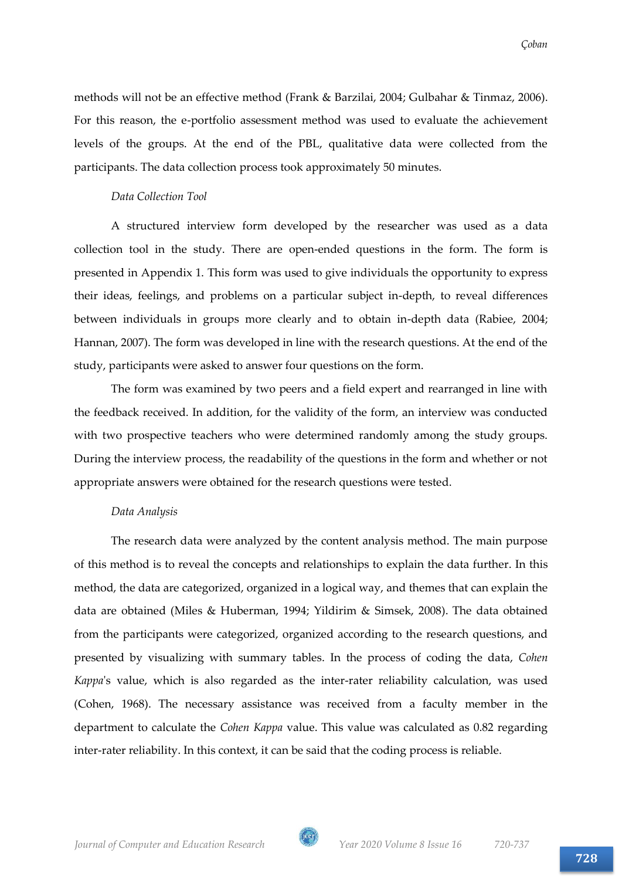methods will not be an effective method (Frank & Barzilai, 2004; Gulbahar & Tinmaz, 2006). For this reason, the e-portfolio assessment method was used to evaluate the achievement levels of the groups. At the end of the PBL, qualitative data were collected from the participants. The data collection process took approximately 50 minutes.

#### *Data Collection Tool*

A structured interview form developed by the researcher was used as a data collection tool in the study. There are open-ended questions in the form. The form is presented in Appendix 1. This form was used to give individuals the opportunity to express their ideas, feelings, and problems on a particular subject in-depth, to reveal differences between individuals in groups more clearly and to obtain in-depth data (Rabiee, 2004; Hannan, 2007). The form was developed in line with the research questions. At the end of the study, participants were asked to answer four questions on the form.

The form was examined by two peers and a field expert and rearranged in line with the feedback received. In addition, for the validity of the form, an interview was conducted with two prospective teachers who were determined randomly among the study groups. During the interview process, the readability of the questions in the form and whether or not appropriate answers were obtained for the research questions were tested.

#### *Data Analysis*

The research data were analyzed by the content analysis method. The main purpose of this method is to reveal the concepts and relationships to explain the data further. In this method, the data are categorized, organized in a logical way, and themes that can explain the data are obtained (Miles & Huberman, 1994; Yildirim & Simsek, 2008). The data obtained from the participants were categorized, organized according to the research questions, and presented by visualizing with summary tables. In the process of coding the data, *Cohen Kappa*'s value, which is also regarded as the inter-rater reliability calculation, was used (Cohen, 1968). The necessary assistance was received from a faculty member in the department to calculate the *Cohen Kappa* value. This value was calculated as 0.82 regarding inter-rater reliability. In this context, it can be said that the coding process is reliable.

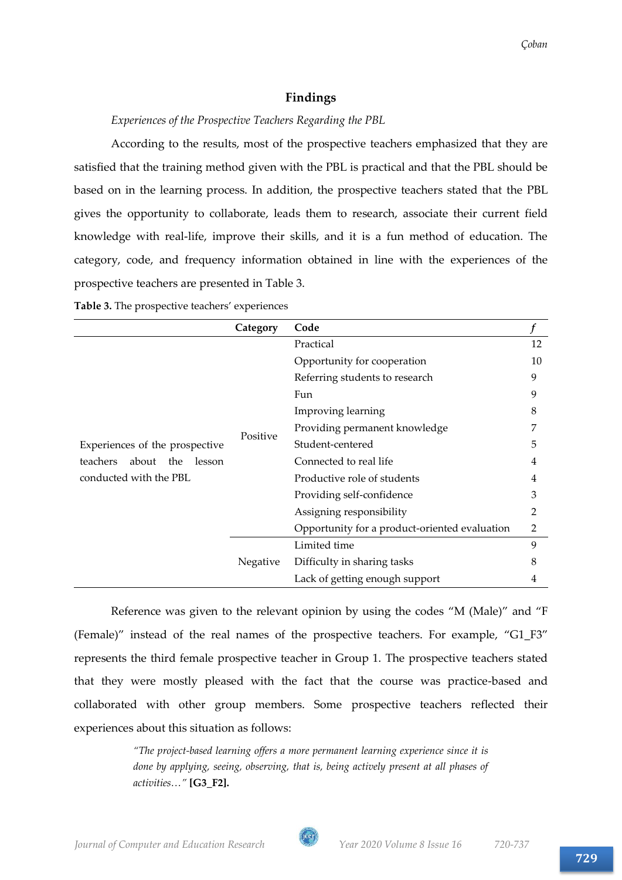# **Findings**

# *Experiences of the Prospective Teachers Regarding the PBL*

According to the results, most of the prospective teachers emphasized that they are satisfied that the training method given with the PBL is practical and that the PBL should be based on in the learning process. In addition, the prospective teachers stated that the PBL gives the opportunity to collaborate, leads them to research, associate their current field knowledge with real-life, improve their skills, and it is a fun method of education. The category, code, and frequency information obtained in line with the experiences of the prospective teachers are presented in Table 3.

|                                                                                             | Category | Code                                          |    |
|---------------------------------------------------------------------------------------------|----------|-----------------------------------------------|----|
|                                                                                             | Positive | Practical                                     | 12 |
|                                                                                             |          | Opportunity for cooperation                   | 10 |
| Experiences of the prospective<br>teachers<br>about the<br>lesson<br>conducted with the PBL |          | Referring students to research                | 9  |
|                                                                                             |          | Fun                                           | 9  |
|                                                                                             |          | Improving learning                            | 8  |
|                                                                                             |          | Providing permanent knowledge                 | 7  |
|                                                                                             |          | Student-centered                              | 5  |
|                                                                                             |          | Connected to real life                        | 4  |
|                                                                                             |          | Productive role of students                   | 4  |
|                                                                                             |          | Providing self-confidence                     | 3  |
|                                                                                             |          | Assigning responsibility                      | 2  |
|                                                                                             |          | Opportunity for a product-oriented evaluation | 2  |
|                                                                                             | Negative | Limited time                                  | 9  |
|                                                                                             |          | Difficulty in sharing tasks                   | 8  |
|                                                                                             |          | Lack of getting enough support                | 4  |

**Table 3.** The prospective teachers' experiences

Reference was given to the relevant opinion by using the codes "M (Male)" and "F (Female)" instead of the real names of the prospective teachers. For example, "G1\_F3" represents the third female prospective teacher in Group 1. The prospective teachers stated that they were mostly pleased with the fact that the course was practice-based and collaborated with other group members. Some prospective teachers reflected their experiences about this situation as follows:

> *"The project-based learning offers a more permanent learning experience since it is done by applying, seeing, observing, that is, being actively present at all phases of activities…"* **[G3\_F2].**

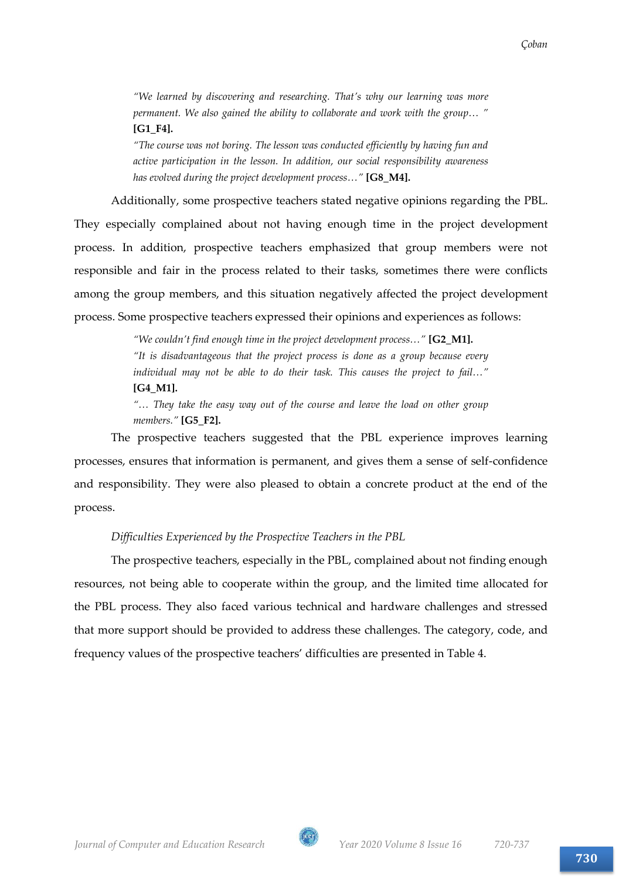*"We learned by discovering and researching. That's why our learning was more permanent. We also gained the ability to collaborate and work with the group… "*  **[G1\_F4].**

*"The course was not boring. The lesson was conducted efficiently by having fun and active participation in the lesson. In addition, our social responsibility awareness has evolved during the project development process…"* **[G8\_M4].**

Additionally, some prospective teachers stated negative opinions regarding the PBL. They especially complained about not having enough time in the project development process. In addition, prospective teachers emphasized that group members were not responsible and fair in the process related to their tasks, sometimes there were conflicts among the group members, and this situation negatively affected the project development process. Some prospective teachers expressed their opinions and experiences as follows:

> *"We couldn't find enough time in the project development process…"* **[G2\_M1].** *"It is disadvantageous that the project process is done as a group because every individual may not be able to do their task. This causes the project to fail…"*  **[G4\_M1].**

> *"… They take the easy way out of the course and leave the load on other group members."* **[G5\_F2].**

The prospective teachers suggested that the PBL experience improves learning processes, ensures that information is permanent, and gives them a sense of self-confidence and responsibility. They were also pleased to obtain a concrete product at the end of the process.

# *Difficulties Experienced by the Prospective Teachers in the PBL*

The prospective teachers, especially in the PBL, complained about not finding enough resources, not being able to cooperate within the group, and the limited time allocated for the PBL process. They also faced various technical and hardware challenges and stressed that more support should be provided to address these challenges. The category, code, and frequency values of the prospective teachers' difficulties are presented in Table 4.

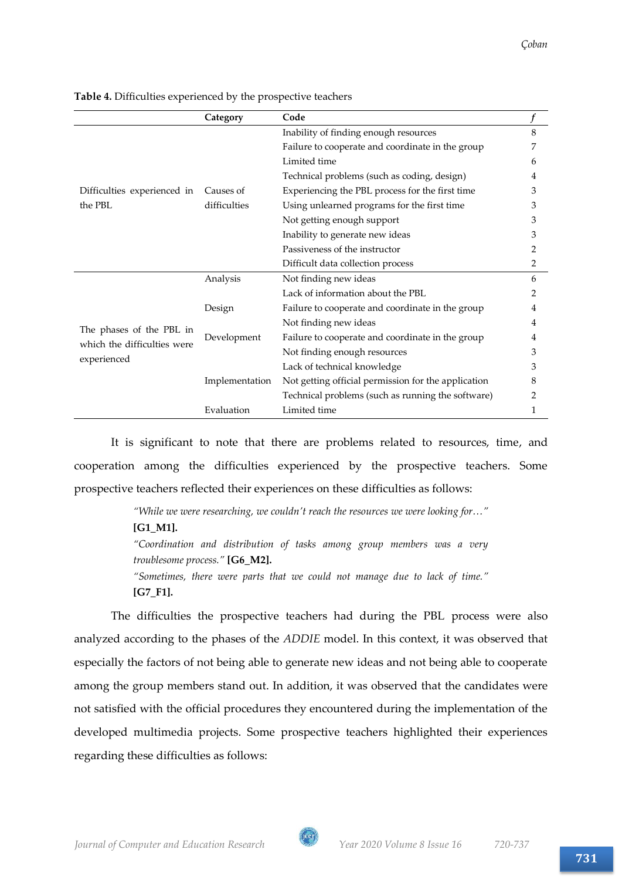|                                                                        | Category       | Code                                                |   |
|------------------------------------------------------------------------|----------------|-----------------------------------------------------|---|
|                                                                        |                | Inability of finding enough resources               | 8 |
|                                                                        |                | Failure to cooperate and coordinate in the group    | 7 |
| Difficulties experienced in<br>the PBL                                 |                | Limited time                                        | 6 |
|                                                                        |                | Technical problems (such as coding, design)         | 4 |
|                                                                        | Causes of      | Experiencing the PBL process for the first time     | 3 |
|                                                                        | difficulties   | Using unlearned programs for the first time         | З |
|                                                                        |                | Not getting enough support                          | 3 |
|                                                                        |                | Inability to generate new ideas                     | 3 |
|                                                                        |                | Passiveness of the instructor                       | 2 |
|                                                                        |                | Difficult data collection process                   | 2 |
| The phases of the PBL in<br>which the difficulties were<br>experienced | Analysis       | Not finding new ideas                               | 6 |
|                                                                        |                | Lack of information about the PBL                   | 2 |
|                                                                        | Design         | Failure to cooperate and coordinate in the group    | 4 |
|                                                                        |                | Not finding new ideas                               | 4 |
|                                                                        | Development    | Failure to cooperate and coordinate in the group    | 4 |
|                                                                        |                | Not finding enough resources                        | 3 |
|                                                                        |                | Lack of technical knowledge                         | 3 |
|                                                                        | Implementation | Not getting official permission for the application | 8 |
|                                                                        |                | Technical problems (such as running the software)   | 2 |
|                                                                        | Evaluation     | Limited time                                        | 1 |

**Table 4.** Difficulties experienced by the prospective teachers

It is significant to note that there are problems related to resources, time, and cooperation among the difficulties experienced by the prospective teachers. Some prospective teachers reflected their experiences on these difficulties as follows:

> *"While we were researching, we couldn't reach the resources we were looking for…"*  **[G1\_M1].** *"Coordination and distribution of tasks among group members was a very troublesome process."* **[G6\_M2].** *"Sometimes, there were parts that we could not manage due to lack of time."* **[G7\_F1].**

The difficulties the prospective teachers had during the PBL process were also analyzed according to the phases of the *ADDIE* model. In this context, it was observed that especially the factors of not being able to generate new ideas and not being able to cooperate among the group members stand out. In addition, it was observed that the candidates were not satisfied with the official procedures they encountered during the implementation of the developed multimedia projects. Some prospective teachers highlighted their experiences regarding these difficulties as follows:

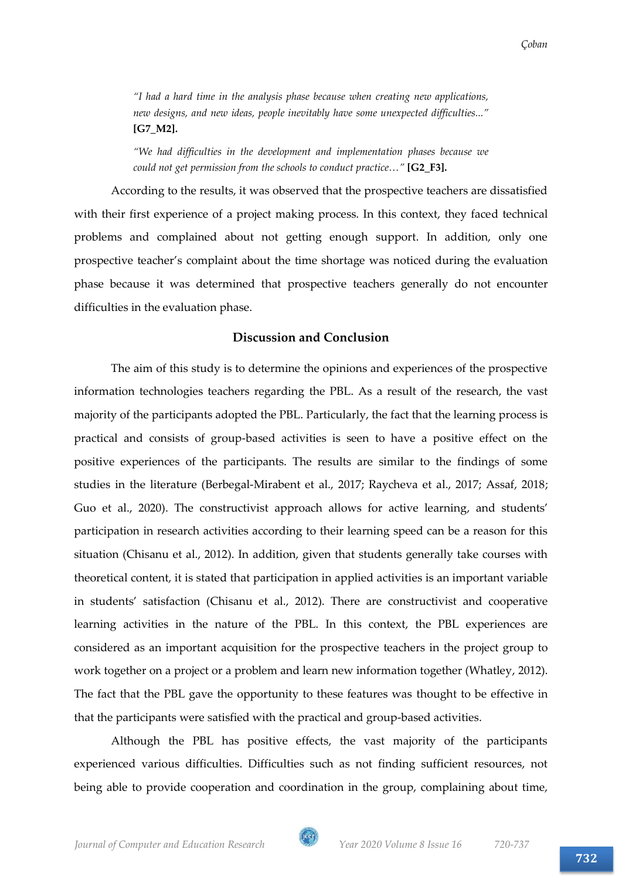*"I had a hard time in the analysis phase because when creating new applications, new designs, and new ideas, people inevitably have some unexpected difficulties..."*  **[G7\_M2].**

*"We had difficulties in the development and implementation phases because we could not get permission from the schools to conduct practice..."* [G2\_F3].

According to the results, it was observed that the prospective teachers are dissatisfied with their first experience of a project making process. In this context, they faced technical problems and complained about not getting enough support. In addition, only one prospective teacher's complaint about the time shortage was noticed during the evaluation phase because it was determined that prospective teachers generally do not encounter difficulties in the evaluation phase.

# **Discussion and Conclusion**

The aim of this study is to determine the opinions and experiences of the prospective information technologies teachers regarding the PBL. As a result of the research, the vast majority of the participants adopted the PBL. Particularly, the fact that the learning process is practical and consists of group-based activities is seen to have a positive effect on the positive experiences of the participants. The results are similar to the findings of some studies in the literature (Berbegal-Mirabent et al., 2017; Raycheva et al., 2017; Assaf, 2018; Guo et al., 2020). The constructivist approach allows for active learning, and students' participation in research activities according to their learning speed can be a reason for this situation (Chisanu et al., 2012). In addition, given that students generally take courses with theoretical content, it is stated that participation in applied activities is an important variable in students' satisfaction (Chisanu et al., 2012). There are constructivist and cooperative learning activities in the nature of the PBL. In this context, the PBL experiences are considered as an important acquisition for the prospective teachers in the project group to work together on a project or a problem and learn new information together (Whatley, 2012). The fact that the PBL gave the opportunity to these features was thought to be effective in that the participants were satisfied with the practical and group-based activities.

Although the PBL has positive effects, the vast majority of the participants experienced various difficulties. Difficulties such as not finding sufficient resources, not being able to provide cooperation and coordination in the group, complaining about time,

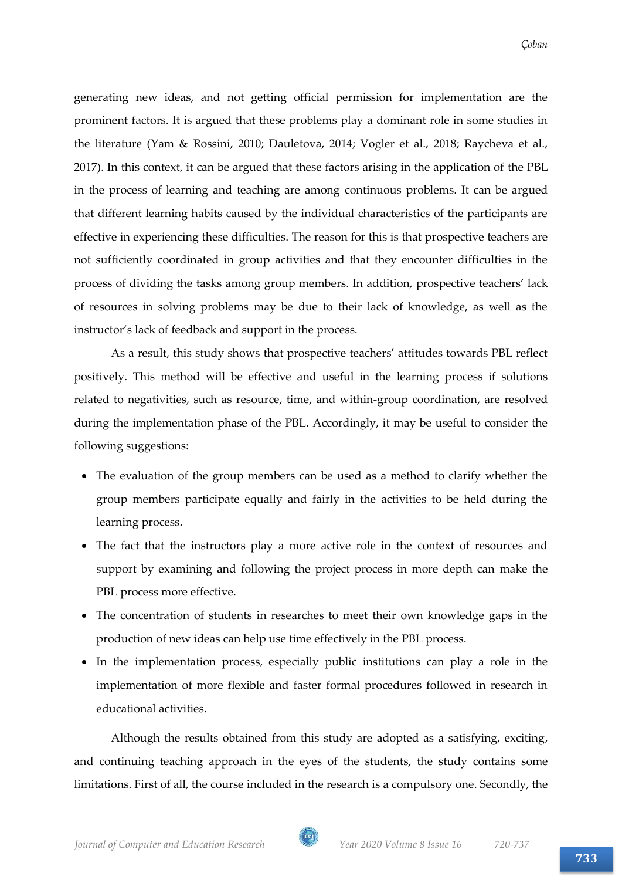generating new ideas, and not getting official permission for implementation are the prominent factors. It is argued that these problems play a dominant role in some studies in the literature (Yam & Rossini, 2010; Dauletova, 2014; Vogler et al., 2018; Raycheva et al., 2017). In this context, it can be argued that these factors arising in the application of the PBL in the process of learning and teaching are among continuous problems. It can be argued that different learning habits caused by the individual characteristics of the participants are effective in experiencing these difficulties. The reason for this is that prospective teachers are not sufficiently coordinated in group activities and that they encounter difficulties in the process of dividing the tasks among group members. In addition, prospective teachers' lack of resources in solving problems may be due to their lack of knowledge, as well as the instructor's lack of feedback and support in the process.

As a result, this study shows that prospective teachers' attitudes towards PBL reflect positively. This method will be effective and useful in the learning process if solutions related to negativities, such as resource, time, and within-group coordination, are resolved during the implementation phase of the PBL. Accordingly, it may be useful to consider the following suggestions:

- The evaluation of the group members can be used as a method to clarify whether the group members participate equally and fairly in the activities to be held during the learning process.
- The fact that the instructors play a more active role in the context of resources and support by examining and following the project process in more depth can make the PBL process more effective.
- The concentration of students in researches to meet their own knowledge gaps in the production of new ideas can help use time effectively in the PBL process.
- In the implementation process, especially public institutions can play a role in the implementation of more flexible and faster formal procedures followed in research in educational activities.

Although the results obtained from this study are adopted as a satisfying, exciting, and continuing teaching approach in the eyes of the students, the study contains some limitations. First of all, the course included in the research is a compulsory one. Secondly, the

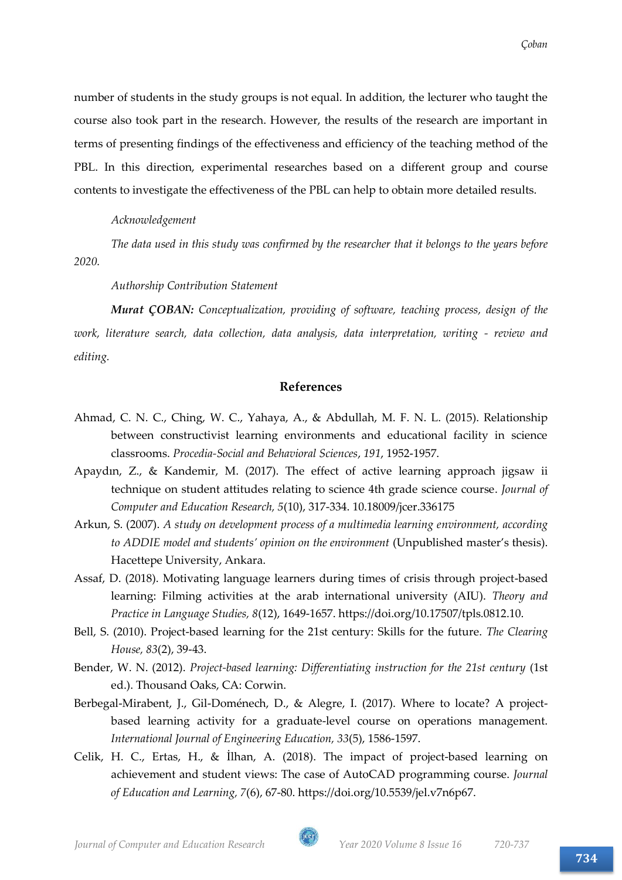number of students in the study groups is not equal. In addition, the lecturer who taught the course also took part in the research. However, the results of the research are important in terms of presenting findings of the effectiveness and efficiency of the teaching method of the PBL. In this direction, experimental researches based on a different group and course contents to investigate the effectiveness of the PBL can help to obtain more detailed results.

*Acknowledgement*

*The data used in this study was confirmed by the researcher that it belongs to the years before 2020.*

*Authorship Contribution Statement*

*Murat ÇOBAN: Conceptualization, providing of software, teaching process, design of the work, literature search, data collection, data analysis, data interpretation, writing - review and editing.*

# **References**

- Ahmad, C. N. C., Ching, W. C., Yahaya, A., & Abdullah, M. F. N. L. (2015). Relationship between constructivist learning environments and educational facility in science classrooms. *Procedia-Social and Behavioral Sciences*, *191*, 1952-1957.
- Apaydın, Z., & Kandemir, M. (2017). The effect of active learning approach jigsaw ii technique on student attitudes relating to science 4th grade science course. *Journal of Computer and Education Research, 5*(10), 317-334. 10.18009/jcer.336175
- Arkun, S. (2007). *A study on development process of a multimedia learning environment, according to ADDIE model and students' opinion on the environment* (Unpublished master's thesis). Hacettepe University, Ankara.
- Assaf, D. (2018). Motivating language learners during times of crisis through project-based learning: Filming activities at the arab international university (AIU). *Theory and Practice in Language Studies, 8*(12), 1649-1657. https://doi.org/10.17507/tpls.0812.10.
- Bell, S. (2010). Project-based learning for the 21st century: Skills for the future. *The Clearing House, 83*(2), 39-43.
- Bender, W. N. (2012). *Project-based learning: Differentiating instruction for the 21st century* (1st ed.). Thousand Oaks, CA: Corwin.
- Berbegal-Mirabent, J., Gil-Doménech, D., & Alegre, I. (2017). Where to locate? A projectbased learning activity for a graduate-level course on operations management. *International Journal of Engineering Education, 33*(5), 1586-1597.
- Celik, H. C., Ertas, H., & İlhan, A. (2018). The impact of project-based learning on achievement and student views: The case of AutoCAD programming course. *Journal of Education and Learning, 7*(6), 67-80. https://doi.org/10.5539/jel.v7n6p67.

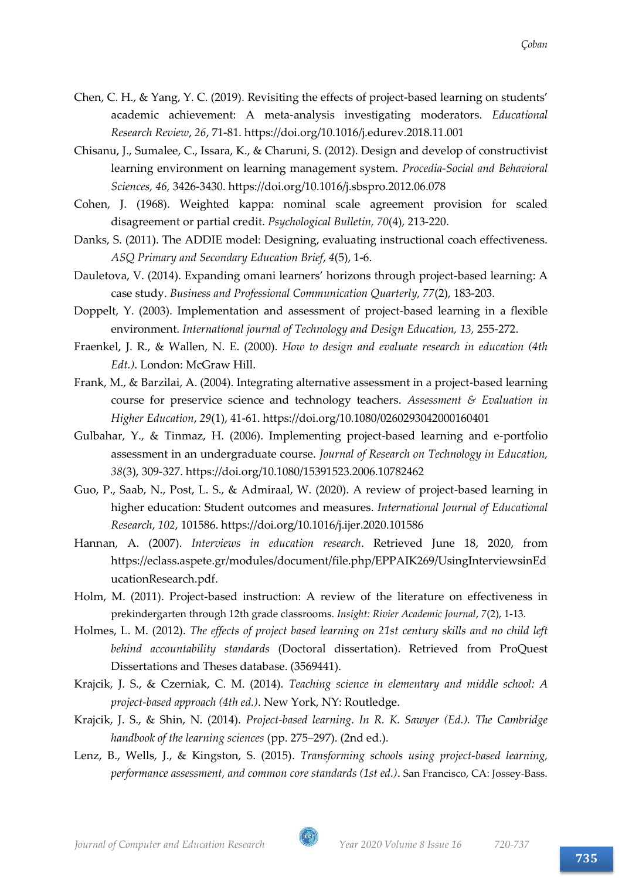- Chen, C. H., & Yang, Y. C. (2019). Revisiting the effects of project-based learning on students' academic achievement: A meta-analysis investigating moderators. *Educational Research Review*, *26*, 71-81. https://doi.org/10.1016/j.edurev.2018.11.001
- Chisanu, J., Sumalee, C., Issara, K., & Charuni, S. (2012). Design and develop of constructivist learning environment on learning management system. *Procedia-Social and Behavioral Sciences, 46,* 3426-3430. https://doi.org/10.1016/j.sbspro.2012.06.078
- Cohen, J. (1968). Weighted kappa: nominal scale agreement provision for scaled disagreement or partial credit. *Psychological Bulletin, 70*(4), 213-220.
- Danks, S. (2011). The ADDIE model: Designing, evaluating instructional coach effectiveness. *ASQ Primary and Secondary Education Brief*, *4*(5), 1-6.
- Dauletova, V. (2014). Expanding omani learners' horizons through project-based learning: A case study. *Business and Professional Communication Quarterly, 77*(2), 183-203.
- Doppelt, Y. (2003). Implementation and assessment of project-based learning in a flexible environment. *International journal of Technology and Design Education*, 13, 255-272.
- Fraenkel, J. R., & Wallen, N. E. (2000). *How to design and evaluate research in education (4th Edt.)*. London: McGraw Hill.
- Frank, M., & Barzilai, A. (2004). Integrating alternative assessment in a project-based learning course for preservice science and technology teachers. *Assessment & Evaluation in Higher Education*, *29*(1), 41-61. https://doi.org/10.1080/0260293042000160401
- Gulbahar, Y., & Tinmaz, H. (2006). Implementing project-based learning and e-portfolio assessment in an undergraduate course. *Journal of Research on Technology in Education, 38*(3), 309-327. https://doi.org/10.1080/15391523.2006.10782462
- Guo, P., Saab, N., Post, L. S., & Admiraal, W. (2020). A review of project-based learning in higher education: Student outcomes and measures. *International Journal of Educational Research*, *102*, 101586. https://doi.org/10.1016/j.ijer.2020.101586
- Hannan, A. (2007). *Interviews in education research*. Retrieved June 18, 2020, from https://eclass.aspete.gr/modules/document/file.php/EPPAIK269/UsingInterviewsinEd ucationResearch.pdf.
- Holm, M. (2011). Project-based instruction: A review of the literature on effectiveness in prekindergarten through 12th grade classrooms. *Insight: Rivier Academic Journal*, *7*(2), 1-13.
- Holmes, L. M. (2012). *The effects of project based learning on 21st century skills and no child left behind accountability standards* (Doctoral dissertation). Retrieved from ProQuest Dissertations and Theses database. (3569441).
- Krajcik, J. S., & Czerniak, C. M. (2014). *Teaching science in elementary and middle school: A project-based approach (4th ed.)*. New York, NY: Routledge.
- Krajcik, J. S., & Shin, N. (2014). *Project-based learning. In R. K. Sawyer (Ed.). The Cambridge handbook of the learning sciences* (pp. 275–297). (2nd ed.).
- Lenz, B., Wells, J., & Kingston, S. (2015). *Transforming schools using project-based learning, performance assessment, and common core standards (1st ed.)*. San Francisco, CA: Jossey-Bass.

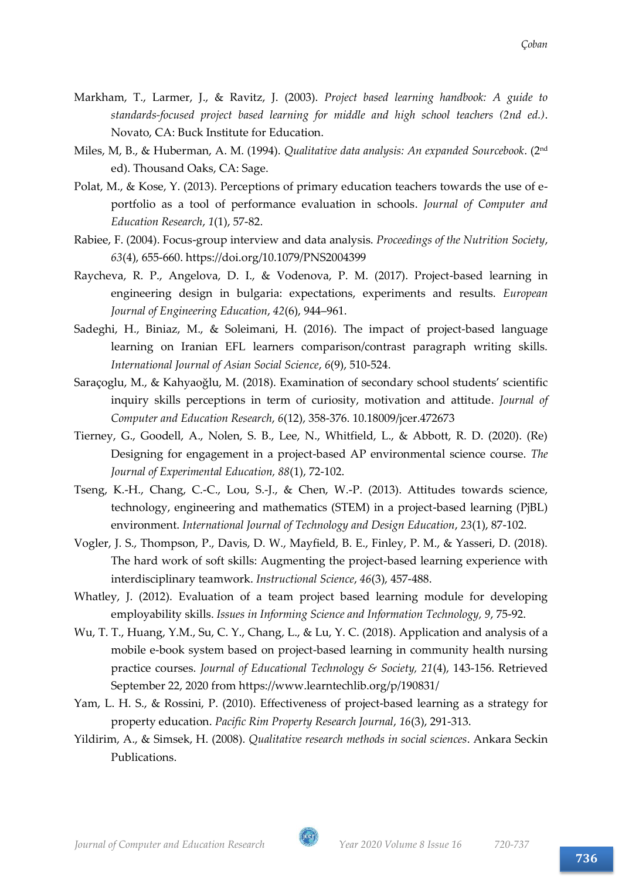- Markham, T., Larmer, J., & Ravitz, J. (2003). *Project based learning handbook: A guide to standards-focused project based learning for middle and high school teachers (2nd ed.)*. Novato, CA: Buck Institute for Education.
- Miles, M, B., & Huberman, A. M. (1994). *Qualitative data analysis: An expanded Sourcebook*. (2nd ed). Thousand Oaks, CA: Sage.
- Polat, M., & Kose, Y. (2013). Perceptions of primary education teachers towards the use of eportfolio as a tool of performance evaluation in schools. *Journal of Computer and Education Research*, *1*(1), 57-82.
- Rabiee, F. (2004). Focus-group interview and data analysis. *Proceedings of the Nutrition Society*, *63*(4), 655-660. https://doi.org/10.1079/PNS2004399
- Raycheva, R. P., Angelova, D. I., & Vodenova, P. M. (2017). Project-based learning in engineering design in bulgaria: expectations, experiments and results. *European Journal of Engineering Education*, *42*(6), 944–961.
- Sadeghi, H., Biniaz, M., & Soleimani, H. (2016). The impact of project-based language learning on Iranian EFL learners comparison/contrast paragraph writing skills. *International Journal of Asian Social Science*, *6*(9), 510-524.
- Saraçoglu, M., & Kahyaoğlu, M. (2018). Examination of secondary school students' scientific inquiry skills perceptions in term of curiosity, motivation and attitude. *Journal of Computer and Education Research*, *6*(12), 358-376. 10.18009/jcer.472673
- Tierney, G., Goodell, A., Nolen, S. B., Lee, N., Whitfield, L., & Abbott, R. D. (2020). (Re) Designing for engagement in a project-based AP environmental science course. *The Journal of Experimental Education, 88*(1), 72-102.
- Tseng, K.-H., Chang, C.-C., Lou, S.-J., & Chen, W.-P. (2013). Attitudes towards science, technology, engineering and mathematics (STEM) in a project-based learning (PjBL) environment. *International Journal of Technology and Design Education*, *23*(1), 87-102.
- Vogler, J. S., Thompson, P., Davis, D. W., Mayfield, B. E., Finley, P. M., & Yasseri, D. (2018). The hard work of soft skills: Augmenting the project-based learning experience with interdisciplinary teamwork. *Instructional Science*, *46*(3), 457-488.
- Whatley, J. (2012). Evaluation of a team project based learning module for developing employability skills. *Issues in Informing Science and Information Technology, 9*, 75-92.
- Wu, T. T., Huang, Y.M., Su, C. Y., Chang, L., & Lu, Y. C. (2018). Application and analysis of a mobile e-book system based on project-based learning in community health nursing practice courses. *Journal of Educational Technology & Society, 21*(4), 143-156. Retrieved September 22, 2020 from https://www.learntechlib.org/p/190831/
- Yam, L. H. S., & Rossini, P. (2010). Effectiveness of project-based learning as a strategy for property education. *Pacific Rim Property Research Journal*, *16*(3), 291-313.
- Yildirim, A., & Simsek, H. (2008). *Qualitative research methods in social sciences*. Ankara Seckin Publications.